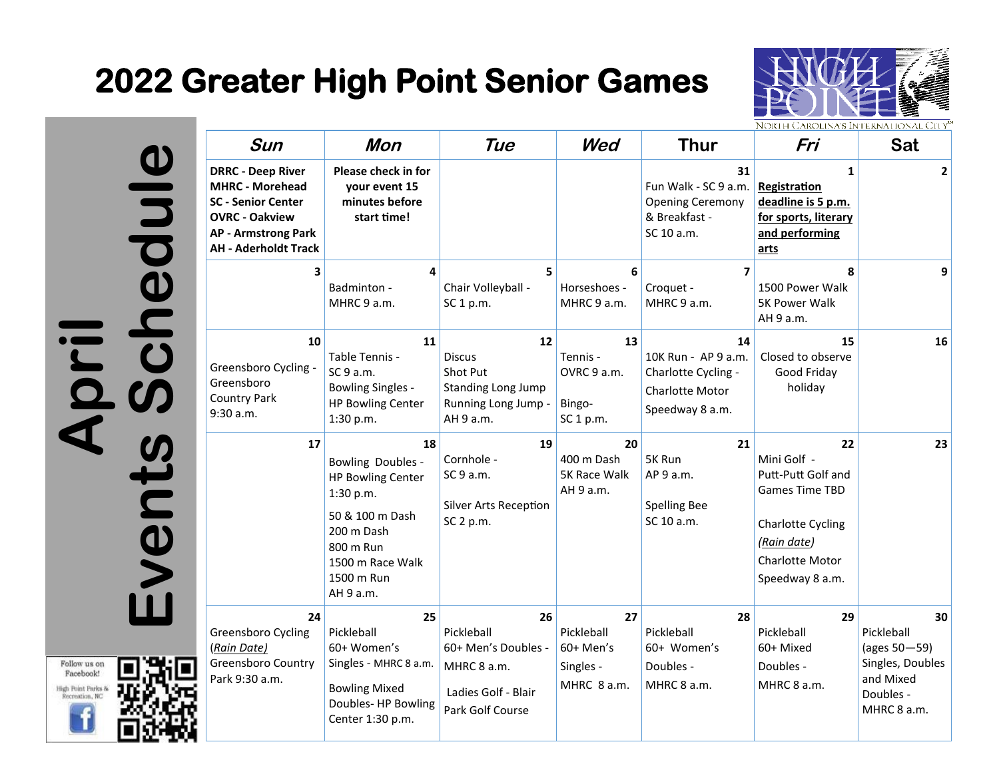## **2022 Greater High Point Senior Games**



April<br>Events Schedule

Follow us on Facebook! High Point Parks & Recreation, NC

| Sun                                                                                                                                                            | Mon                                                                                                                                                     | Tue                                                                                                    | Wed                                                        | <b>Thur</b>                                                                                         | Fri                                                                                                                                                | Sat                                                                                           |
|----------------------------------------------------------------------------------------------------------------------------------------------------------------|---------------------------------------------------------------------------------------------------------------------------------------------------------|--------------------------------------------------------------------------------------------------------|------------------------------------------------------------|-----------------------------------------------------------------------------------------------------|----------------------------------------------------------------------------------------------------------------------------------------------------|-----------------------------------------------------------------------------------------------|
| <b>DRRC - Deep River</b><br><b>MHRC - Morehead</b><br>SC - Senior Center<br><b>OVRC - Oakview</b><br><b>AP - Armstrong Park</b><br><b>AH - Aderholdt Track</b> | Please check in for<br>vour event 15<br>minutes before<br>start time!                                                                                   |                                                                                                        |                                                            | 31<br>Fun Walk - SC 9 a.m.<br><b>Opening Ceremony</b><br>& Breakfast -<br>SC 10 a.m.                | $\mathbf{1}$<br>Registration<br>deadline is 5 p.m.<br>for sports, literary<br>and performing<br>arts                                               | $\mathbf{2}$                                                                                  |
| 3                                                                                                                                                              | 4<br>Badminton -<br>MHRC 9 a.m.                                                                                                                         | 5.<br>Chair Volleyball -<br>SC 1 p.m.                                                                  | 6<br>Horseshoes -<br>MHRC 9 a.m.                           | 7<br>Croquet -<br>MHRC 9 a.m.                                                                       | 8<br>1500 Power Walk<br><b>5K Power Walk</b><br>AH 9 a.m.                                                                                          | 9                                                                                             |
| 10<br>Greensboro Cycling -<br>Greensboro<br>Country Park<br>9:30 a.m.<br>17                                                                                    | 11<br>Table Tennis -<br>SC 9 a.m.<br><b>Bowling Singles -</b><br><b>HP Bowling Center</b><br>1:30 p.m.<br>18                                            | 12<br><b>Discus</b><br>Shot Put<br><b>Standing Long Jump</b><br>Running Long Jump -<br>AH 9 a.m.<br>19 | 13<br>Tennis -<br>OVRC 9 a.m.<br>Bingo-<br>SC 1 p.m.<br>20 | 14<br>10K Run - AP 9 a.m.<br>Charlotte Cycling -<br><b>Charlotte Motor</b><br>Speedway 8 a.m.<br>21 | 15<br>Closed to observe<br>Good Friday<br>holiday<br>22                                                                                            | 16<br>23                                                                                      |
|                                                                                                                                                                | Bowling Doubles -<br><b>HP Bowling Center</b><br>1:30 p.m.<br>50 & 100 m Dash<br>200 m Dash<br>800 m Run<br>1500 m Race Walk<br>1500 m Run<br>AH 9 a.m. | Cornhole -<br>SC 9 a.m.<br>Silver Arts Reception<br>SC 2 p.m.                                          | 400 m Dash<br>5K Race Walk<br>AH 9 a.m.                    | 5K Run<br>AP 9 a.m.<br><b>Spelling Bee</b><br>SC 10 a.m.                                            | Mini Golf -<br>Putt-Putt Golf and<br><b>Games Time TBD</b><br><b>Charlotte Cycling</b><br>(Rain date)<br><b>Charlotte Motor</b><br>Speedway 8 a.m. |                                                                                               |
| 24<br>Greensboro Cycling<br>(Rain Date)<br><b>Greensboro Country</b><br>Park 9:30 a.m.                                                                         | 25<br>Pickleball<br>60+ Women's<br>Singles - MHRC 8 a.m.<br><b>Bowling Mixed</b><br>Doubles-HP Bowling<br>Center 1:30 p.m.                              | 26<br>Pickleball<br>60+ Men's Doubles -<br>MHRC 8 a.m.<br>Ladies Golf - Blair<br>Park Golf Course      | 27<br>Pickleball<br>60+ Men's<br>Singles -<br>MHRC 8 a.m.  | 28<br>Pickleball<br>60+ Women's<br>Doubles -<br>MHRC 8 a.m.                                         | 29<br>Pickleball<br>60+ Mixed<br>Doubles -<br>MHRC 8 a.m.                                                                                          | 30<br>Pickleball<br>(ages 50-59)<br>Singles, Doubles<br>and Mixed<br>Doubles -<br>MHRC 8 a.m. |